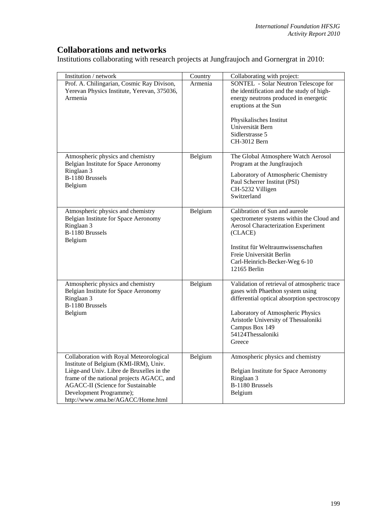## **Collaborations and networks**

Institutions collaborating with research projects at Jungfraujoch and Gornergrat in 2010:

| Institution / network                                                                                                                                                                                                                                                                  | Country | Collaborating with project:                                                                                                                                                                                                                                    |
|----------------------------------------------------------------------------------------------------------------------------------------------------------------------------------------------------------------------------------------------------------------------------------------|---------|----------------------------------------------------------------------------------------------------------------------------------------------------------------------------------------------------------------------------------------------------------------|
| Prof. A. Chilingarian, Cosmic Ray Divison,<br>Yerevan Physics Institute, Yerevan, 375036,<br>Armenia                                                                                                                                                                                   | Armenia | SONTEL - Solar Neutron Telescope for<br>the identification and the study of high-<br>energy neutrons produced in energetic<br>eruptions at the Sun<br>Physikalisches Institut<br>Universität Bern<br>Sidlerstrasse 5<br>CH-3012 Bern                           |
| Atmospheric physics and chemistry<br>Belgian Institute for Space Aeronomy<br>Ringlaan 3<br>B-1180 Brussels<br>Belgium                                                                                                                                                                  | Belgium | The Global Atmosphere Watch Aerosol<br>Program at the Jungfraujoch<br>Laboratory of Atmospheric Chemistry<br>Paul Scherrer Institut (PSI)<br>CH-5232 Villigen<br>Switzerland                                                                                   |
| Atmospheric physics and chemistry<br>Belgian Institute for Space Aeronomy<br>Ringlaan 3<br>B-1180 Brussels<br>Belgium                                                                                                                                                                  | Belgium | Calibration of Sun and aureole<br>spectrometer systems within the Cloud and<br>Aerosol Characterization Experiment<br>(CLACE)<br>Institut für Weltraumwissenschaften<br>Freie Universität Berlin<br>Carl-Heinrich-Becker-Weg 6-10<br>12165 Berlin              |
| Atmospheric physics and chemistry<br>Belgian Institute for Space Aeronomy<br>Ringlaan 3<br>B-1180 Brussels<br>Belgium                                                                                                                                                                  | Belgium | Validation of retrieval of atmospheric trace<br>gases with Phaethon system using<br>differential optical absorption spectroscopy<br>Laboratory of Atmospheric Physics<br>Aristotle University of Thessaloniki<br>Campus Box 149<br>54124Thessaloniki<br>Greece |
| Collaboration with Royal Meteorological<br>Institute of Belgium (KMI-IRM), Univ.<br>Liège-and Univ. Libre de Bruxelles in the<br>frame of the national projects AGACC, and<br><b>AGACC-II</b> (Science for Sustainable<br>Development Programme);<br>http://www.oma.be/AGACC/Home.html | Belgium | Atmospheric physics and chemistry<br>Belgian Institute for Space Aeronomy<br>Ringlaan 3<br>B-1180 Brussels<br>Belgium                                                                                                                                          |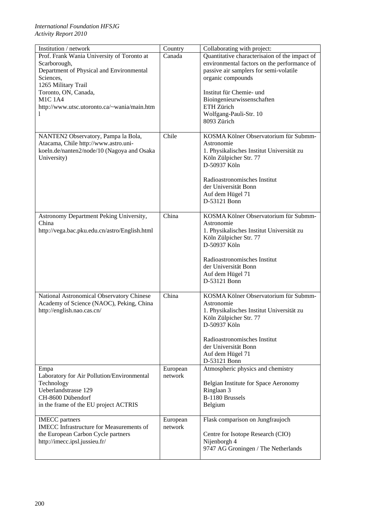| Institution / network                                                                                                                                                                                                                   | Country             | Collaborating with project:                                                                                                                                                                                                                                                  |
|-----------------------------------------------------------------------------------------------------------------------------------------------------------------------------------------------------------------------------------------|---------------------|------------------------------------------------------------------------------------------------------------------------------------------------------------------------------------------------------------------------------------------------------------------------------|
| Prof. Frank Wania University of Toronto at<br>Scarborough,<br>Department of Physical and Environmental<br>Sciences,<br>1265 Military Trail<br>Toronto, ON, Canada,<br><b>M1C1A4</b><br>http://www.utsc.utoronto.ca/~wania/main.htm<br>1 | Canada              | Quantitative characterisaion of the impact of<br>environmental factors on the performance of<br>passive air samplers for semi-volatile<br>organic compounds<br>Institut für Chemie- und<br>Bioingenieurwissenschaften<br>ETH Zürich<br>Wolfgang-Pauli-Str. 10<br>8093 Zürich |
| NANTEN2 Observatory, Pampa la Bola,<br>Atacama, Chile http://www.astro.uni-<br>koeln.de/nanten2/node/10 (Nagoya and Osaka<br>University)                                                                                                | Chile               | KOSMA Kölner Observatorium für Submm-<br>Astronomie<br>1. Physikalisches Institut Universität zu<br>Köln Zülpicher Str. 77<br>D-50937 Köln<br>Radioastronomisches Institut<br>der Universität Bonn<br>Auf dem Hügel 71<br>D-53121 Bonn                                       |
| Astronomy Department Peking University,<br>China<br>http://vega.bac.pku.edu.cn/astro/English.html                                                                                                                                       | China               | KOSMA Kölner Observatorium für Submm-<br>Astronomie<br>1. Physikalisches Institut Universität zu<br>Köln Zülpicher Str. 77<br>D-50937 Köln<br>Radioastronomisches Institut<br>der Universität Bonn<br>Auf dem Hügel 71<br>D-53121 Bonn                                       |
| National Astronomical Observatory Chinese<br>Academy of Science (NAOC), Peking, China<br>http://english.nao.cas.cn/                                                                                                                     | China               | KOSMA Kölner Observatorium für Submm-<br>Astronomie<br>1. Physikalisches Institut Universität zu<br>Köln Zülpicher Str. 77<br>D-50937 Köln<br>Radioastronomisches Institut<br>der Universität Bonn<br>Auf dem Hügel 71<br>D-53121 Bonn                                       |
| Empa<br>Laboratory for Air Pollution/Environmental<br>Technology<br>Ueberlandstrasse 129<br>CH-8600 Dübendorf<br>in the frame of the EU project ACTRIS                                                                                  | European<br>network | Atmospheric physics and chemistry<br>Belgian Institute for Space Aeronomy<br>Ringlaan 3<br>B-1180 Brussels<br>Belgium                                                                                                                                                        |
| <b>IMECC</b> partners<br><b>IMECC</b> Infrastructure for Measurements of<br>the European Carbon Cycle partners<br>http://imecc.ipsl.jussieu.fr/                                                                                         | European<br>network | Flask comparison on Jungfraujoch<br>Centre for Isotope Research (CIO)<br>Nijenborgh 4<br>9747 AG Groningen / The Netherlands                                                                                                                                                 |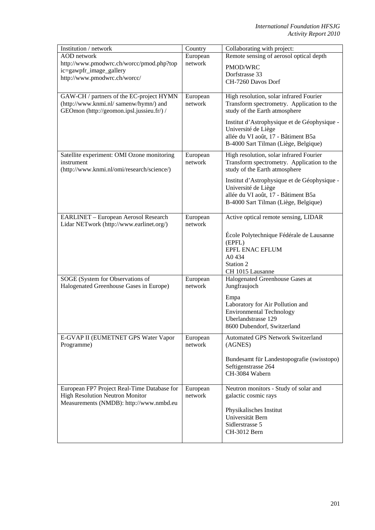| Institution / network                       | Country  | Collaborating with project:                                         |
|---------------------------------------------|----------|---------------------------------------------------------------------|
| <b>AOD</b> network                          | European | Remote sensing of aerosol optical depth                             |
| http://www.pmodwrc.ch/worcc/pmod.php?top    | network  |                                                                     |
| ic=gawpfr_image_gallery                     |          | PMOD/WRC                                                            |
| http://www.pmodwrc.ch/worcc/                |          | Dorfstrasse 33                                                      |
|                                             |          | CH-7260 Davos Dorf                                                  |
| GAW-CH / partners of the EC-project HYMN    | European | High resolution, solar infrared Fourier                             |
| (http://www.knmi.nl/ samenw/hymn/) and      | network  | Transform spectrometry. Application to the                          |
| GEOmon (http://geomon.ipsl.jussieu.fr/) /   |          | study of the Earth atmosphere                                       |
|                                             |          | Institut d'Astrophysique et de Géophysique -                        |
|                                             |          | Université de Liège                                                 |
|                                             |          | allée du VI août, 17 - Bâtiment B5a                                 |
|                                             |          | B-4000 Sart Tilman (Liège, Belgique)                                |
| Satellite experiment: OMI Ozone monitoring  | European | High resolution, solar infrared Fourier                             |
| instrument                                  | network  | Transform spectrometry. Application to the                          |
| (http://www.knmi.nl/omi/research/science/)  |          | study of the Earth atmosphere                                       |
|                                             |          |                                                                     |
|                                             |          | Institut d'Astrophysique et de Géophysique -<br>Université de Liège |
|                                             |          | allée du VI août, 17 - Bâtiment B5a                                 |
|                                             |          | B-4000 Sart Tilman (Liège, Belgique)                                |
|                                             |          |                                                                     |
| EARLINET - European Aerosol Research        | European | Active optical remote sensing, LIDAR                                |
| Lidar NETwork (http://www.earlinet.org/)    | network  |                                                                     |
|                                             |          | École Polytechnique Fédérale de Lausanne                            |
|                                             |          | (EPFL)                                                              |
|                                             |          | EPFL ENAC EFLUM                                                     |
|                                             |          | A0434                                                               |
|                                             |          | Station 2                                                           |
|                                             |          | CH 1015 Lausanne                                                    |
| SOGE (System for Observations of            | European | Halogenated Greenhouse Gases at                                     |
| Halogenated Greenhouse Gases in Europe)     | network  | Jungfraujoch                                                        |
|                                             |          | Empa                                                                |
|                                             |          | Laboratory for Air Pollution and                                    |
|                                             |          | <b>Environmental Technology</b>                                     |
|                                             |          | Uberlandstrasse 129                                                 |
|                                             |          | 8600 Dubendorf, Switzerland                                         |
| E-GVAP II (EUMETNET GPS Water Vapor         | European | Automated GPS Network Switzerland                                   |
| Programme)                                  | network  | (AGNES)                                                             |
|                                             |          |                                                                     |
|                                             |          | Bundesamt für Landestopografie (swisstopo)<br>Seftigenstrasse 264   |
|                                             |          | CH-3084 Wabern                                                      |
|                                             |          |                                                                     |
| European FP7 Project Real-Time Database for | European | Neutron monitors - Study of solar and                               |
| <b>High Resolution Neutron Monitor</b>      | network  | galactic cosmic rays                                                |
| Measurements (NMDB): http://www.nmbd.eu     |          |                                                                     |
|                                             |          | Physikalisches Institut                                             |
|                                             |          | Universität Bern                                                    |
|                                             |          | Sidlerstrasse 5<br>CH-3012 Bern                                     |
|                                             |          |                                                                     |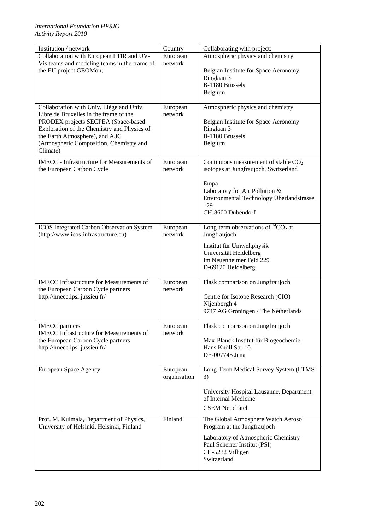| Institution / network                                                                    | Country             | Collaborating with project:                                                |
|------------------------------------------------------------------------------------------|---------------------|----------------------------------------------------------------------------|
| Collaboration with European FTIR and UV-<br>Vis teams and modeling teams in the frame of | European<br>network | Atmospheric physics and chemistry                                          |
| the EU project GEOMon;                                                                   |                     | Belgian Institute for Space Aeronomy                                       |
|                                                                                          |                     | Ringlaan 3                                                                 |
|                                                                                          |                     | B-1180 Brussels<br>Belgium                                                 |
|                                                                                          |                     |                                                                            |
| Collaboration with Univ. Liège and Univ.<br>Libre de Bruxelles in the frame of the       | European<br>network | Atmospheric physics and chemistry                                          |
| PRODEX projects SECPEA (Space-based                                                      |                     | Belgian Institute for Space Aeronomy                                       |
| Exploration of the Chemistry and Physics of                                              |                     | Ringlaan 3                                                                 |
| the Earth Atmosphere), and A3C<br>(Atmospheric Composition, Chemistry and                |                     | B-1180 Brussels<br>Belgium                                                 |
| Climate)                                                                                 |                     |                                                                            |
| IMECC - Infrastructure for Measurements of                                               | European            | Continuous measurement of stable $CO2$                                     |
| the European Carbon Cycle                                                                | network             | isotopes at Jungfraujoch, Switzerland                                      |
|                                                                                          |                     | Empa                                                                       |
|                                                                                          |                     | Laboratory for Air Pollution &<br>Environmental Technology Überlandstrasse |
|                                                                                          |                     | 129                                                                        |
|                                                                                          |                     | CH-8600 Dübendorf                                                          |
|                                                                                          |                     |                                                                            |
| <b>ICOS</b> Integrated Carbon Observation System<br>(http://www.icos-infrastructure.eu)  | European<br>network | Long-term observations of ${}^{14}CO_2$ at<br>Jungfraujoch                 |
|                                                                                          |                     | Institut für Umweltphysik                                                  |
|                                                                                          |                     | Universität Heidelberg                                                     |
|                                                                                          |                     | Im Neuenheimer Feld 229<br>D-69120 Heidelberg                              |
|                                                                                          |                     |                                                                            |
| <b>IMECC</b> Infrastructure for Measurements of<br>the European Carbon Cycle partners    | European<br>network | Flask comparison on Jungfraujoch                                           |
| http://imecc.ipsl.jussieu.fr/                                                            |                     | Centre for Isotope Research (CIO)                                          |
|                                                                                          |                     | Nijenborgh 4                                                               |
|                                                                                          |                     | 9747 AG Groningen / The Netherlands                                        |
| <b>IMECC</b> partners<br><b>IMECC</b> Infrastructure for Measurements of                 | European<br>network | Flask comparison on Jungfraujoch                                           |
| the European Carbon Cycle partners                                                       |                     | Max-Planck Institut für Biogeochemie                                       |
| http://imecc.ipsl.jussieu.fr/                                                            |                     | Hans Knöll Str. 10                                                         |
|                                                                                          |                     | DE-007745 Jena                                                             |
| European Space Agency                                                                    | European            | Long-Term Medical Survey System (LTMS-                                     |
|                                                                                          | organisation        | 3)                                                                         |
|                                                                                          |                     | University Hospital Lausanne, Department                                   |
|                                                                                          |                     | of Internal Medicine                                                       |
|                                                                                          |                     | <b>CSEM Neuchâtel</b>                                                      |
| Prof. M. Kulmala, Department of Physics,<br>University of Helsinki, Helsinki, Finland    | Finland             | The Global Atmosphere Watch Aerosol<br>Program at the Jungfraujoch         |
|                                                                                          |                     |                                                                            |
|                                                                                          |                     | Laboratory of Atmospheric Chemistry<br>Paul Scherrer Institut (PSI)        |
|                                                                                          |                     | CH-5232 Villigen                                                           |
|                                                                                          |                     | Switzerland                                                                |
|                                                                                          |                     |                                                                            |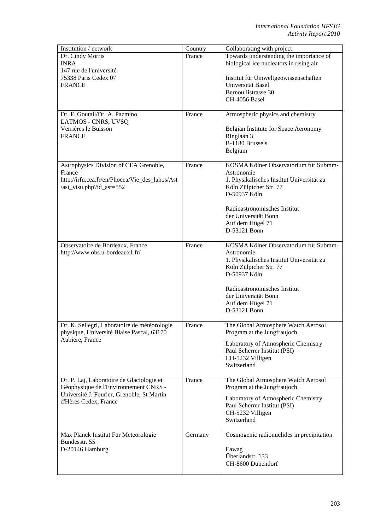| Institution / network                          | Country | Collaborating with project:                                        |
|------------------------------------------------|---------|--------------------------------------------------------------------|
| Dr. Cindy Morris                               | France  | Towards understanding the importance of                            |
| <b>INRA</b>                                    |         | biological ice nucleators in rising air                            |
| 147 rue de l'université                        |         |                                                                    |
| 75338 Paris Cedex 07                           |         | Institut für Umweltgeowissenschaften                               |
| <b>FRANCE</b>                                  |         | Universität Basel                                                  |
|                                                |         | Bernoullistrasse 30                                                |
|                                                |         | CH-4056 Basel                                                      |
|                                                |         |                                                                    |
| Dr. F. Goutail/Dr. A. Pazmino                  | France  | Atmospheric physics and chemistry                                  |
| LATMOS - CNRS, UVSQ                            |         |                                                                    |
| Verrières le Buisson                           |         | Belgian Institute for Space Aeronomy                               |
| <b>FRANCE</b>                                  |         | Ringlaan 3                                                         |
|                                                |         | B-1180 Brussels                                                    |
|                                                |         |                                                                    |
|                                                |         | Belgium                                                            |
| Astrophysics Division of CEA Grenoble,         | France  | KOSMA Kölner Observatorium für Submm-                              |
| France                                         |         | Astronomie                                                         |
|                                                |         |                                                                    |
| http://irfu.cea.fr/en/Phocea/Vie_des_labos/Ast |         | 1. Physikalisches Institut Universität zu                          |
| /ast_visu.php?id_ast=552                       |         | Köln Zülpicher Str. 77<br>D-50937 Köln                             |
|                                                |         |                                                                    |
|                                                |         | Radioastronomisches Institut                                       |
|                                                |         | der Universität Bonn                                               |
|                                                |         |                                                                    |
|                                                |         | Auf dem Hügel 71<br>D-53121 Bonn                                   |
|                                                |         |                                                                    |
| Observatoire de Bordeaux, France               | France  | KOSMA Kölner Observatorium für Submm-                              |
| http://www.obs.u-bordeaux1.fr/                 |         | Astronomie                                                         |
|                                                |         | 1. Physikalisches Institut Universität zu                          |
|                                                |         | Köln Zülpicher Str. 77                                             |
|                                                |         | D-50937 Köln                                                       |
|                                                |         |                                                                    |
|                                                |         | Radioastronomisches Institut                                       |
|                                                |         | der Universität Bonn                                               |
|                                                |         | Auf dem Hügel 71                                                   |
|                                                |         | D-53121 Bonn                                                       |
|                                                |         |                                                                    |
| Dr. K. Sellegri, Laboratoire de météorologie   | France  | The Global Atmosphere Watch Aerosol                                |
| physique, Université Blaise Pascal, 63170      |         | Program at the Jungfraujoch                                        |
| Aubiere, France                                |         |                                                                    |
|                                                |         | Laboratory of Atmospheric Chemistry                                |
|                                                |         | Paul Scherrer Institut (PSI)                                       |
|                                                |         | CH-5232 Villigen                                                   |
|                                                |         | Switzerland                                                        |
| Dr. P. Laj, Laboratoire de Glaciologie et      | France  |                                                                    |
| Géophysique de l'Environnement CNRS -          |         | The Global Atmosphere Watch Aerosol<br>Program at the Jungfraujoch |
| Université J. Fourier, Grenoble, St Martin     |         |                                                                    |
| d'Hères Cedex, France                          |         | Laboratory of Atmospheric Chemistry                                |
|                                                |         | Paul Scherrer Institut (PSI)                                       |
|                                                |         | CH-5232 Villigen                                                   |
|                                                |         | Switzerland                                                        |
|                                                |         |                                                                    |
| Max Planck Institut Für Meteorologie           | Germany | Cosmogenic radionuclides in precipitation                          |
| Bundesstr. 55                                  |         |                                                                    |
| D-20146 Hamburg                                |         | Eawag                                                              |
|                                                |         | Überlandstr. 133                                                   |
|                                                |         | CH-8600 Dübendorf                                                  |
|                                                |         |                                                                    |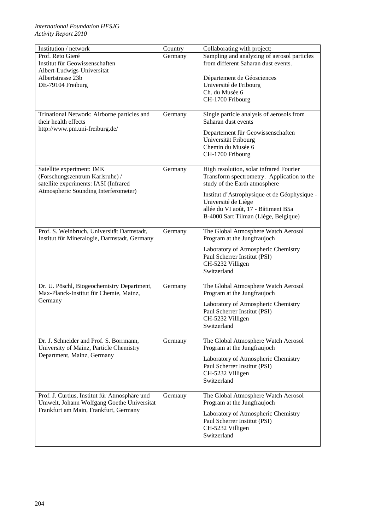## *International Foundation HFSJG Activity Report 2010*

| Institution / network                                                                                                                         | Country | Collaborating with project:                                                                                                                                                                                                                                                  |
|-----------------------------------------------------------------------------------------------------------------------------------------------|---------|------------------------------------------------------------------------------------------------------------------------------------------------------------------------------------------------------------------------------------------------------------------------------|
| Prof. Reto Gieré<br>Institut für Geowissenschaften                                                                                            | Germany | Sampling and analyzing of aerosol particles<br>from different Saharan dust events.                                                                                                                                                                                           |
| Albert-Ludwigs-Universität<br>Albertstrasse 23b<br>DE-79104 Freiburg                                                                          |         | Département de Géosciences<br>Université de Fribourg<br>Ch. du Musée 6<br>CH-1700 Fribourg                                                                                                                                                                                   |
| Trinational Network: Airborne particles and<br>their health effects<br>http://www.pm.uni-freiburg.de/                                         | Germany | Single particle analysis of aerosols from<br>Saharan dust events<br>Departement für Geowissenschaften<br>Universität Fribourg<br>Chemin du Musée 6<br>CH-1700 Fribourg                                                                                                       |
| Satellite experiment: IMK<br>(Forschungszentrum Karlsruhe) /<br>satellite experiments: IASI (Infrared<br>Atmospheric Sounding Interferometer) | Germany | High resolution, solar infrared Fourier<br>Transform spectrometry. Application to the<br>study of the Earth atmosphere<br>Institut d'Astrophysique et de Géophysique -<br>Université de Liège<br>allée du VI août, 17 - Bâtiment B5a<br>B-4000 Sart Tilman (Liège, Belgique) |
| Prof. S. Weinbruch, Universität Darmstadt,<br>Institut für Mineralogie, Darmstadt, Germany                                                    | Germany | The Global Atmosphere Watch Aerosol<br>Program at the Jungfraujoch<br>Laboratory of Atmospheric Chemistry<br>Paul Scherrer Institut (PSI)<br>CH-5232 Villigen<br>Switzerland                                                                                                 |
| Dr. U. Pöschl, Biogeochemistry Department,<br>Max-Planck-Institut für Chemie, Mainz,<br>Germany                                               | Germany | The Global Atmosphere Watch Aerosol<br>Program at the Jungfraujoch<br>Laboratory of Atmospheric Chemistry<br>Paul Scherrer Institut (PSI)<br>CH-5232 Villigen<br>Switzerland                                                                                                 |
| Dr. J. Schneider and Prof. S. Borrmann,<br>University of Mainz, Particle Chemistry<br>Department, Mainz, Germany                              | Germany | The Global Atmosphere Watch Aerosol<br>Program at the Jungfraujoch<br>Laboratory of Atmospheric Chemistry<br>Paul Scherrer Institut (PSI)<br>CH-5232 Villigen<br>Switzerland                                                                                                 |
| Prof. J. Curtius, Institut für Atmosphäre und<br>Umwelt, Johann Wolfgang Goethe Universität<br>Frankfurt am Main, Frankfurt, Germany          | Germany | The Global Atmosphere Watch Aerosol<br>Program at the Jungfraujoch<br>Laboratory of Atmospheric Chemistry<br>Paul Scherrer Institut (PSI)<br>CH-5232 Villigen<br>Switzerland                                                                                                 |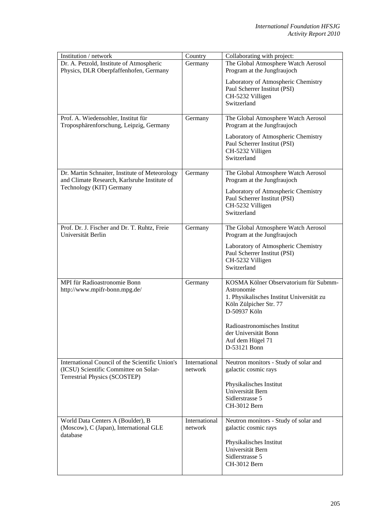| Institution / network                                                                                                     | Country                  | Collaborating with project:                                                                                                                |
|---------------------------------------------------------------------------------------------------------------------------|--------------------------|--------------------------------------------------------------------------------------------------------------------------------------------|
| Dr. A. Petzold, Institute of Atmospheric<br>Physics, DLR Oberpfaffenhofen, Germany                                        | Germany                  | The Global Atmosphere Watch Aerosol<br>Program at the Jungfraujoch                                                                         |
|                                                                                                                           |                          | Laboratory of Atmospheric Chemistry<br>Paul Scherrer Institut (PSI)<br>CH-5232 Villigen<br>Switzerland                                     |
| Prof. A. Wiedensohler, Institut für<br>Troposphärenforschung, Leipzig, Germany                                            | Germany                  | The Global Atmosphere Watch Aerosol<br>Program at the Jungfraujoch                                                                         |
|                                                                                                                           |                          | Laboratory of Atmospheric Chemistry<br>Paul Scherrer Institut (PSI)<br>CH-5232 Villigen<br>Switzerland                                     |
| Dr. Martin Schnaiter, Institute of Meteorology<br>and Climate Research, Karlsruhe Institute of                            | Germany                  | The Global Atmosphere Watch Aerosol<br>Program at the Jungfraujoch                                                                         |
| Technology (KIT) Germany                                                                                                  |                          | Laboratory of Atmospheric Chemistry<br>Paul Scherrer Institut (PSI)<br>CH-5232 Villigen<br>Switzerland                                     |
| Prof. Dr. J. Fischer and Dr. T. Ruhtz, Freie<br>Universität Berlin                                                        | Germany                  | The Global Atmosphere Watch Aerosol<br>Program at the Jungfraujoch                                                                         |
|                                                                                                                           |                          | Laboratory of Atmospheric Chemistry<br>Paul Scherrer Institut (PSI)<br>CH-5232 Villigen<br>Switzerland                                     |
| MPI für Radioastronomie Bonn<br>http://www.mpifr-bonn.mpg.de/                                                             | Germany                  | KOSMA Kölner Observatorium für Submm-<br>Astronomie<br>1. Physikalisches Institut Universität zu<br>Köln Zülpicher Str. 77<br>D-50937 Köln |
|                                                                                                                           |                          | Radioastronomisches Institut<br>der Universität Bonn<br>Auf dem Hügel 71                                                                   |
|                                                                                                                           |                          | D-53121 Bonn                                                                                                                               |
| International Council of the Scientific Union's<br>(ICSU) Scientific Committee on Solar-<br>Terrestrial Physics (SCOSTEP) | International<br>network | Neutron monitors - Study of solar and<br>galactic cosmic rays                                                                              |
|                                                                                                                           |                          | Physikalisches Institut<br>Universität Bern                                                                                                |
|                                                                                                                           |                          | Sidlerstrasse 5<br>CH-3012 Bern                                                                                                            |
| World Data Centers A (Boulder), B<br>(Moscow), C (Japan), International GLE<br>database                                   | International<br>network | Neutron monitors - Study of solar and<br>galactic cosmic rays                                                                              |
|                                                                                                                           |                          | Physikalisches Institut<br>Universität Bern<br>Sidlerstrasse 5                                                                             |
|                                                                                                                           |                          | CH-3012 Bern                                                                                                                               |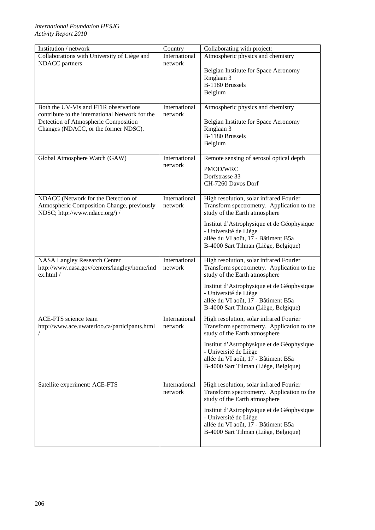| Institution / network                                                                                                                                                    | Country                  | Collaborating with project:                                                                                                                                                                                                                                                  |
|--------------------------------------------------------------------------------------------------------------------------------------------------------------------------|--------------------------|------------------------------------------------------------------------------------------------------------------------------------------------------------------------------------------------------------------------------------------------------------------------------|
| Collaborations with University of Liège and                                                                                                                              | International            | Atmospheric physics and chemistry                                                                                                                                                                                                                                            |
| NDACC partners                                                                                                                                                           | network                  | Belgian Institute for Space Aeronomy<br>Ringlaan 3<br>B-1180 Brussels<br>Belgium                                                                                                                                                                                             |
| Both the UV-Vis and FTIR observations<br>contribute to the international Network for the<br>Detection of Atmospheric Composition<br>Changes (NDACC, or the former NDSC). | International<br>network | Atmospheric physics and chemistry<br>Belgian Institute for Space Aeronomy<br>Ringlaan 3<br>B-1180 Brussels<br>Belgium                                                                                                                                                        |
| Global Atmosphere Watch (GAW)                                                                                                                                            | International<br>network | Remote sensing of aerosol optical depth<br>PMOD/WRC<br>Dorfstrasse 33<br>CH-7260 Davos Dorf                                                                                                                                                                                  |
| NDACC (Network for the Detection of<br>Atmospheric Composition Change, previously<br>NDSC; http://www.ndacc.org/) /                                                      | International<br>network | High resolution, solar infrared Fourier<br>Transform spectrometry. Application to the<br>study of the Earth atmosphere<br>Institut d'Astrophysique et de Géophysique<br>- Université de Liège<br>allée du VI août, 17 - Bâtiment B5a<br>B-4000 Sart Tilman (Liège, Belgique) |
| <b>NASA Langley Research Center</b><br>http://www.nasa.gov/centers/langley/home/ind<br>ex.html /                                                                         | International<br>network | High resolution, solar infrared Fourier<br>Transform spectrometry. Application to the<br>study of the Earth atmosphere<br>Institut d'Astrophysique et de Géophysique<br>- Université de Liège<br>allée du VI août, 17 - Bâtiment B5a<br>B-4000 Sart Tilman (Liège, Belgique) |
| ACE-FTS science team<br>http://www.ace.uwaterloo.ca/participants.html                                                                                                    | International<br>network | High resolution, solar infrared Fourier<br>Transform spectrometry. Application to the<br>study of the Earth atmosphere<br>Institut d'Astrophysique et de Géophysique<br>- Université de Liège<br>allée du VI août, 17 - Bâtiment B5a<br>B-4000 Sart Tilman (Liège, Belgique) |
| Satellite experiment: ACE-FTS                                                                                                                                            | International<br>network | High resolution, solar infrared Fourier<br>Transform spectrometry. Application to the<br>study of the Earth atmosphere<br>Institut d'Astrophysique et de Géophysique<br>- Université de Liège<br>allée du VI août, 17 - Bâtiment B5a<br>B-4000 Sart Tilman (Liège, Belgique) |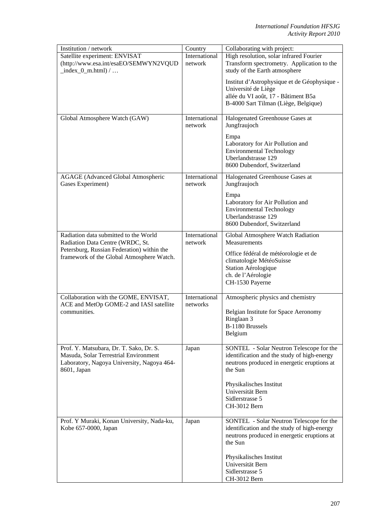| Institution / network                                                                                                                         | Country                   | Collaborating with project:                                                                                                                        |
|-----------------------------------------------------------------------------------------------------------------------------------------------|---------------------------|----------------------------------------------------------------------------------------------------------------------------------------------------|
| Satellite experiment: ENVISAT<br>(http://www.esa.int/esaEO/SEMWYN2VQUD<br>$index_0_m.html$                                                    | International<br>network  | High resolution, solar infrared Fourier<br>Transform spectrometry. Application to the<br>study of the Earth atmosphere                             |
|                                                                                                                                               |                           | Institut d'Astrophysique et de Géophysique -<br>Université de Liège<br>allée du VI août, 17 - Bâtiment B5a<br>B-4000 Sart Tilman (Liège, Belgique) |
| Global Atmosphere Watch (GAW)                                                                                                                 | International<br>network  | Halogenated Greenhouse Gases at<br>Jungfraujoch                                                                                                    |
|                                                                                                                                               |                           | Empa<br>Laboratory for Air Pollution and<br><b>Environmental Technology</b><br>Uberlandstrasse 129<br>8600 Dubendorf, Switzerland                  |
| <b>AGAGE</b> (Advanced Global Atmospheric<br>Gases Experiment)                                                                                | International<br>network  | Halogenated Greenhouse Gases at<br>Jungfraujoch                                                                                                    |
|                                                                                                                                               |                           | Empa<br>Laboratory for Air Pollution and<br><b>Environmental Technology</b><br>Uberlandstrasse 129<br>8600 Dubendorf, Switzerland                  |
| Radiation data submitted to the World<br>Radiation Data Centre (WRDC, St.                                                                     | International<br>network  | Global Atmosphere Watch Radiation<br>Measurements                                                                                                  |
| Petersburg, Russian Federation) within the<br>framework of the Global Atmosphere Watch.                                                       |                           | Office fédéral de météorologie et de<br>climatologie MétéoSuisse<br>Station Aérologique<br>ch. de l'Aérologie<br>CH-1530 Payerne                   |
| Collaboration with the GOME, ENVISAT,<br>ACE and MetOp GOME-2 and IASI satellite                                                              | International<br>networks | Atmospheric physics and chemistry                                                                                                                  |
| communities.                                                                                                                                  |                           | Belgian Institute for Space Aeronomy<br>Ringlaan 3<br>B-1180 Brussels<br>Belgium                                                                   |
| Prof. Y. Matsubara, Dr. T. Sako, Dr. S.<br>Masuda, Solar Terrestrial Environment<br>Laboratory, Nagoya University, Nagoya 464-<br>8601, Japan | Japan                     | SONTEL - Solar Neutron Telescope for the<br>identification and the study of high-energy<br>neutrons produced in energetic eruptions at<br>the Sun  |
|                                                                                                                                               |                           | Physikalisches Institut<br>Universität Bern<br>Sidlerstrasse 5<br>CH-3012 Bern                                                                     |
| Prof. Y Muraki, Konan University, Nada-ku,<br>Kobe 657-0000, Japan                                                                            | Japan                     | SONTEL - Solar Neutron Telescope for the<br>identification and the study of high-energy<br>neutrons produced in energetic eruptions at<br>the Sun  |
|                                                                                                                                               |                           | Physikalisches Institut<br>Universität Bern<br>Sidlerstrasse 5<br>CH-3012 Bern                                                                     |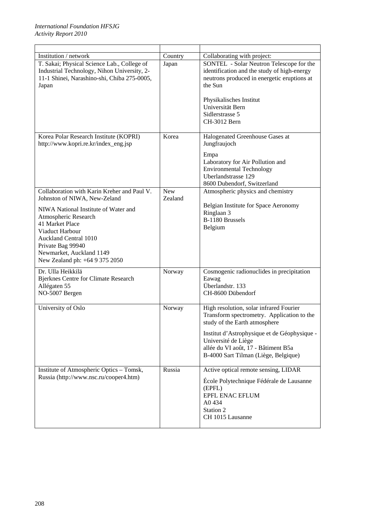| Institution / network                                                                                                                                                                                                                                              | Country               | Collaborating with project:                                                                                                                                                                                                                                                  |
|--------------------------------------------------------------------------------------------------------------------------------------------------------------------------------------------------------------------------------------------------------------------|-----------------------|------------------------------------------------------------------------------------------------------------------------------------------------------------------------------------------------------------------------------------------------------------------------------|
| T. Sakai; Physical Science Lab., College of<br>Industrial Technology, Nihon University, 2-<br>11-1 Shinei, Narashino-shi, Chiba 275-0005,<br>Japan                                                                                                                 | Japan                 | SONTEL - Solar Neutron Telescope for the<br>identification and the study of high-energy<br>neutrons produced in energetic eruptions at<br>the Sun<br>Physikalisches Institut<br>Universität Bern<br>Sidlerstrasse 5<br>CH-3012 Bern                                          |
| Korea Polar Research Institute (KOPRI)<br>http://www.kopri.re.kr/index_eng.jsp                                                                                                                                                                                     | Korea                 | Halogenated Greenhouse Gases at<br>Jungfraujoch<br>Empa<br>Laboratory for Air Pollution and<br><b>Environmental Technology</b><br>Uberlandstrasse 129                                                                                                                        |
|                                                                                                                                                                                                                                                                    |                       | 8600 Dubendorf, Switzerland                                                                                                                                                                                                                                                  |
| Collaboration with Karin Kreher and Paul V.<br>Johnston of NIWA, New-Zeland<br>NIWA National Institute of Water and<br>Atmospheric Research<br>41 Market Place<br>Viaduct Harbour<br><b>Auckland Central 1010</b><br>Private Bag 99940<br>Newmarket, Auckland 1149 | <b>New</b><br>Zealand | Atmospheric physics and chemistry<br>Belgian Institute for Space Aeronomy<br>Ringlaan 3<br>B-1180 Brussels<br>Belgium                                                                                                                                                        |
| New Zealand ph: +64 9 375 2050                                                                                                                                                                                                                                     |                       |                                                                                                                                                                                                                                                                              |
| Dr. Ulla Heikkilä<br><b>Bjerknes Centre for Climate Research</b><br>Allégaten 55<br>NO-5007 Bergen                                                                                                                                                                 | Norway                | Cosmogenic radionuclides in precipitation<br>Eawag<br>Überlandstr. 133<br>CH-8600 Dübendorf                                                                                                                                                                                  |
| University of Oslo                                                                                                                                                                                                                                                 | Norway                | High resolution, solar infrared Fourier<br>Transform spectrometry. Application to the<br>study of the Earth atmosphere<br>Institut d'Astrophysique et de Géophysique -<br>Université de Liège<br>allée du VI août, 17 - Bâtiment B5a<br>B-4000 Sart Tilman (Liège, Belgique) |
| Institute of Atmospheric Optics - Tomsk,<br>Russia (http://www.nsc.ru/cooper4.htm)                                                                                                                                                                                 | Russia                | Active optical remote sensing, LIDAR<br>École Polytechnique Fédérale de Lausanne<br>(EPFL)<br><b>EPFL ENAC EFLUM</b><br>A0434<br>Station 2<br>CH 1015 Lausanne                                                                                                               |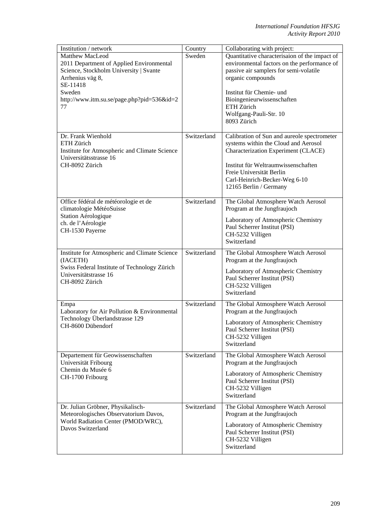| Institution / network<br><b>Matthew MacLeod</b><br>2011 Department of Applied Environmental<br>Science, Stockholm University   Svante<br>Arrhenius väg 8,<br>SE-11418<br>Sweden<br>http://www.itm.su.se/page.php?pid=536&id=2<br>77<br>Dr. Frank Wienhold | Country<br>Sweden<br>Switzerland | Collaborating with project:<br>Quantitative characterisaion of the impact of<br>environmental factors on the performance of<br>passive air samplers for semi-volatile<br>organic compounds<br>Institut für Chemie- und<br>Bioingenieurwissenschaften<br>ETH Zürich<br>Wolfgang-Pauli-Str. 10<br>8093 Zürich<br>Calibration of Sun and aureole spectrometer |
|-----------------------------------------------------------------------------------------------------------------------------------------------------------------------------------------------------------------------------------------------------------|----------------------------------|------------------------------------------------------------------------------------------------------------------------------------------------------------------------------------------------------------------------------------------------------------------------------------------------------------------------------------------------------------|
| ETH Zürich<br>Institute for Atmospheric and Climate Science<br>Universitätsstrasse 16<br>CH-8092 Zürich                                                                                                                                                   |                                  | systems within the Cloud and Aerosol<br>Characterization Experiment (CLACE)<br>Institut für Weltraumwissenschaften<br>Freie Universität Berlin<br>Carl-Heinrich-Becker-Weg 6-10<br>12165 Berlin / Germany                                                                                                                                                  |
| Office fédéral de météorologie et de<br>climatologie MétéoSuisse<br>Station Aérologique<br>ch. de l'Aérologie<br>CH-1530 Payerne                                                                                                                          | Switzerland                      | The Global Atmosphere Watch Aerosol<br>Program at the Jungfraujoch<br>Laboratory of Atmospheric Chemistry<br>Paul Scherrer Institut (PSI)<br>CH-5232 Villigen<br>Switzerland                                                                                                                                                                               |
| Institute for Atmospheric and Climate Science<br>(IACETH)<br>Swiss Federal Institute of Technology Zürich<br>Universitätstrasse 16<br>CH-8092 Zürich                                                                                                      | Switzerland                      | The Global Atmosphere Watch Aerosol<br>Program at the Jungfraujoch<br>Laboratory of Atmospheric Chemistry<br>Paul Scherrer Institut (PSI)<br>CH-5232 Villigen<br>Switzerland                                                                                                                                                                               |
| Empa<br>Laboratory for Air Pollution & Environmental<br>Technology Überlandstrasse 129<br>CH-8600 Dübendorf                                                                                                                                               | Switzerland                      | The Global Atmosphere Watch Aerosol<br>Program at the Jungfraujoch<br>Laboratory of Atmospheric Chemistry<br>Paul Scherrer Institut (PSI)<br>CH-5232 Villigen<br>Switzerland                                                                                                                                                                               |
| Departement für Geowissenschaften<br>Universität Fribourg<br>Chemin du Musée 6<br>CH-1700 Fribourg                                                                                                                                                        | Switzerland                      | The Global Atmosphere Watch Aerosol<br>Program at the Jungfraujoch<br>Laboratory of Atmospheric Chemistry<br>Paul Scherrer Institut (PSI)<br>CH-5232 Villigen<br>Switzerland                                                                                                                                                                               |
| Dr. Julian Gröbner, Physikalisch-<br>Meteorologisches Observatorium Davos,<br>World Radiation Center (PMOD/WRC),<br>Davos Switzerland                                                                                                                     | Switzerland                      | The Global Atmosphere Watch Aerosol<br>Program at the Jungfraujoch<br>Laboratory of Atmospheric Chemistry<br>Paul Scherrer Institut (PSI)<br>CH-5232 Villigen<br>Switzerland                                                                                                                                                                               |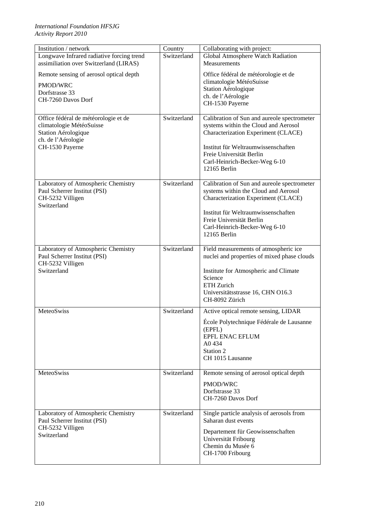| Institution / network                                                               | Country     | Collaborating with project:                       |
|-------------------------------------------------------------------------------------|-------------|---------------------------------------------------|
| Longwave Infrared radiative forcing trend<br>assimiliation over Switzerland (LIRAS) | Switzerland | Global Atmosphere Watch Radiation<br>Measurements |
| Remote sensing of aerosol optical depth                                             |             | Office fédéral de météorologie et de              |
| PMOD/WRC                                                                            |             | climatologie MétéoSuisse                          |
| Dorfstrasse 33                                                                      |             | Station Aérologique                               |
| CH-7260 Davos Dorf                                                                  |             | ch. de l'Aérologie<br>CH-1530 Payerne             |
|                                                                                     |             |                                                   |
| Office fédéral de météorologie et de                                                | Switzerland | Calibration of Sun and aureole spectrometer       |
| climatologie MétéoSuisse                                                            |             | systems within the Cloud and Aerosol              |
| Station Aérologique<br>ch. de l'Aérologie                                           |             | Characterization Experiment (CLACE)               |
| CH-1530 Payerne                                                                     |             | Institut für Weltraumwissenschaften               |
|                                                                                     |             | Freie Universität Berlin                          |
|                                                                                     |             | Carl-Heinrich-Becker-Weg 6-10                     |
|                                                                                     |             | 12165 Berlin                                      |
| Laboratory of Atmospheric Chemistry                                                 | Switzerland | Calibration of Sun and aureole spectrometer       |
| Paul Scherrer Institut (PSI)                                                        |             | systems within the Cloud and Aerosol              |
| CH-5232 Villigen                                                                    |             | Characterization Experiment (CLACE)               |
| Switzerland                                                                         |             | Institut für Weltraumwissenschaften               |
|                                                                                     |             | Freie Universität Berlin                          |
|                                                                                     |             | Carl-Heinrich-Becker-Weg 6-10                     |
|                                                                                     |             | 12165 Berlin                                      |
| Laboratory of Atmospheric Chemistry                                                 | Switzerland | Field measurements of atmospheric ice             |
| Paul Scherrer Institut (PSI)                                                        |             | nuclei and properties of mixed phase clouds       |
| CH-5232 Villigen                                                                    |             |                                                   |
| Switzerland                                                                         |             | Institute for Atmospheric and Climate             |
|                                                                                     |             | Science<br>ETH Zurich                             |
|                                                                                     |             | Universitätsstrasse 16, CHN O16.3                 |
|                                                                                     |             | CH-8092 Zürich                                    |
| MeteoSwiss                                                                          | Switzerland | Active optical remote sensing, LIDAR              |
|                                                                                     |             | École Polytechnique Fédérale de Lausanne          |
|                                                                                     |             | (EPFL)                                            |
|                                                                                     |             | <b>EPFL ENAC EFLUM</b>                            |
|                                                                                     |             | A0434<br>Station 2                                |
|                                                                                     |             | CH 1015 Lausanne                                  |
|                                                                                     |             |                                                   |
| MeteoSwiss                                                                          | Switzerland | Remote sensing of aerosol optical depth           |
|                                                                                     |             | PMOD/WRC                                          |
|                                                                                     |             | Dorfstrasse 33<br>CH-7260 Davos Dorf              |
|                                                                                     |             |                                                   |
| Laboratory of Atmospheric Chemistry                                                 | Switzerland | Single particle analysis of aerosols from         |
| Paul Scherrer Institut (PSI)                                                        |             | Saharan dust events                               |
| CH-5232 Villigen<br>Switzerland                                                     |             | Departement für Geowissenschaften                 |
|                                                                                     |             | Universität Fribourg                              |
|                                                                                     |             | Chemin du Musée 6                                 |
|                                                                                     |             | CH-1700 Fribourg                                  |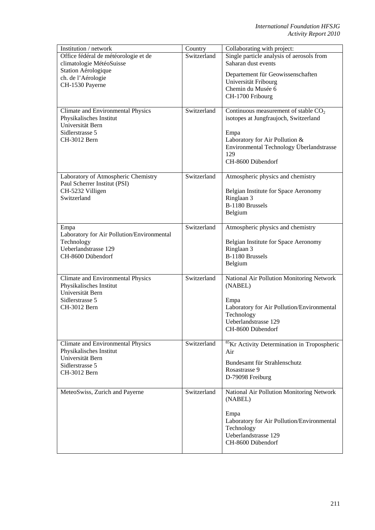| Institution / network                      | Country     | Collaborating with project:                             |
|--------------------------------------------|-------------|---------------------------------------------------------|
| Office fédéral de météorologie et de       | Switzerland | Single particle analysis of aerosols from               |
| climatologie MétéoSuisse                   |             | Saharan dust events                                     |
| Station Aérologique                        |             |                                                         |
| ch. de l'Aérologie                         |             | Departement für Geowissenschaften                       |
| CH-1530 Payerne                            |             | Universität Fribourg                                    |
|                                            |             | Chemin du Musée 6                                       |
|                                            |             | CH-1700 Fribourg                                        |
|                                            |             |                                                         |
| Climate and Environmental Physics          | Switzerland | Continuous measurement of stable CO <sub>2</sub>        |
| Physikalisches Institut                    |             | isotopes at Jungfraujoch, Switzerland                   |
| Universität Bern                           |             |                                                         |
| Sidlerstrasse 5                            |             | Empa                                                    |
| CH-3012 Bern                               |             | Laboratory for Air Pollution &                          |
|                                            |             | Environmental Technology Überlandstrasse                |
|                                            |             | 129                                                     |
|                                            |             | CH-8600 Dübendorf                                       |
|                                            |             |                                                         |
| Laboratory of Atmospheric Chemistry        | Switzerland | Atmospheric physics and chemistry                       |
| Paul Scherrer Institut (PSI)               |             |                                                         |
| CH-5232 Villigen                           |             | Belgian Institute for Space Aeronomy                    |
| Switzerland                                |             | Ringlaan 3                                              |
|                                            |             | B-1180 Brussels                                         |
|                                            |             |                                                         |
|                                            |             | Belgium                                                 |
|                                            | Switzerland | Atmospheric physics and chemistry                       |
| Empa                                       |             |                                                         |
| Laboratory for Air Pollution/Environmental |             |                                                         |
| Technology                                 |             | Belgian Institute for Space Aeronomy                    |
| Ueberlandstrasse 129                       |             | Ringlaan 3                                              |
| CH-8600 Dübendorf                          |             | B-1180 Brussels                                         |
|                                            |             | Belgium                                                 |
|                                            |             |                                                         |
| Climate and Environmental Physics          | Switzerland | National Air Pollution Monitoring Network               |
| Physikalisches Institut                    |             | (NABEL)                                                 |
| Universität Bern                           |             |                                                         |
| Sidlerstrasse 5                            |             | Empa                                                    |
| CH-3012 Bern                               |             | Laboratory for Air Pollution/Environmental              |
|                                            |             | Technology                                              |
|                                            |             | Ueberlandstrasse 129                                    |
|                                            |             | CH-8600 Dübendorf                                       |
|                                            |             |                                                         |
| Climate and Environmental Physics          | Switzerland | <sup>85</sup> Kr Activity Determination in Tropospheric |
| Physikalisches Institut                    |             | Air                                                     |
| Universität Bern                           |             |                                                         |
| Sidlerstrasse 5                            |             | Bundesamt für Strahlenschutz                            |
| CH-3012 Bern                               |             | Rosastrasse 9                                           |
|                                            |             | D-79098 Freiburg                                        |
|                                            |             |                                                         |
| MeteoSwiss, Zurich and Payerne             | Switzerland | National Air Pollution Monitoring Network               |
|                                            |             | (NABEL)                                                 |
|                                            |             |                                                         |
|                                            |             | Empa                                                    |
|                                            |             | Laboratory for Air Pollution/Environmental              |
|                                            |             | Technology                                              |
|                                            |             | Ueberlandstrasse 129                                    |
|                                            |             | CH-8600 Dübendorf                                       |
|                                            |             |                                                         |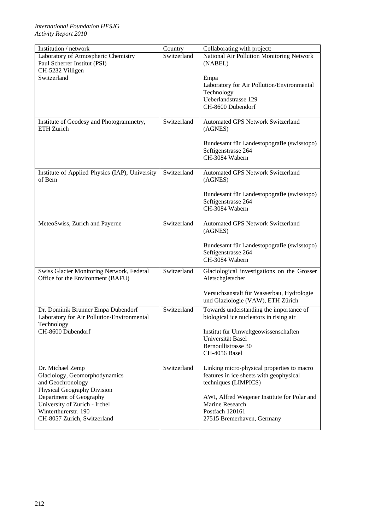| Institution / network                                                                                                                                                                                                    | Country     | Collaborating with project:                                                                                                                                                                                                      |
|--------------------------------------------------------------------------------------------------------------------------------------------------------------------------------------------------------------------------|-------------|----------------------------------------------------------------------------------------------------------------------------------------------------------------------------------------------------------------------------------|
| Laboratory of Atmospheric Chemistry<br>Paul Scherrer Institut (PSI)<br>CH-5232 Villigen<br>Switzerland                                                                                                                   | Switzerland | National Air Pollution Monitoring Network<br>(NABEL)<br>Empa<br>Laboratory for Air Pollution/Environmental<br>Technology<br>Ueberlandstrasse 129<br>CH-8600 Dübendorf                                                            |
| Institute of Geodesy and Photogrammetry,<br>ETH Zürich                                                                                                                                                                   | Switzerland | <b>Automated GPS Network Switzerland</b><br>(AGNES)<br>Bundesamt für Landestopografie (swisstopo)<br>Seftigenstrasse 264<br>CH-3084 Wabern                                                                                       |
| Institute of Applied Physics (IAP), University<br>of Bern                                                                                                                                                                | Switzerland | Automated GPS Network Switzerland<br>(AGNES)<br>Bundesamt für Landestopografie (swisstopo)<br>Seftigenstrasse 264<br>CH-3084 Wabern                                                                                              |
| MeteoSwiss, Zurich and Payerne                                                                                                                                                                                           | Switzerland | Automated GPS Network Switzerland<br>(AGNES)<br>Bundesamt für Landestopografie (swisstopo)<br>Seftigenstrasse 264<br>CH-3084 Wabern                                                                                              |
| Swiss Glacier Monitoring Network, Federal<br>Office for the Environment (BAFU)                                                                                                                                           | Switzerland | Glaciological investigations on the Grosser<br>Aletschgletscher<br>Versuchsanstalt für Wasserbau, Hydrologie<br>und Glaziologie (VAW), ETH Zürich                                                                                |
| Dr. Dominik Brunner Empa Dübendorf<br>Laboratory for Air Pollution/Environmental<br>Technology<br>CH-8600 Dübendorf                                                                                                      | Switzerland | Towards understanding the importance of<br>biological ice nucleators in rising air<br>Institut für Umweltgeowissenschaften<br>Universität Basel<br>Bernoullistrasse 30<br>CH-4056 Basel                                          |
| Dr. Michael Zemp<br>Glaciology, Geomorphodynamics<br>and Geochronology<br>Physical Geography Division<br>Department of Geography<br>University of Zurich - Irchel<br>Winterthurerstr. 190<br>CH-8057 Zurich, Switzerland | Switzerland | Linking micro-physical properties to macro<br>features in ice sheets with geophysical<br>techniques (LIMPICS)<br>AWI, Alfred Wegener Institute for Polar and<br>Marine Research<br>Postfach 120161<br>27515 Bremerhaven, Germany |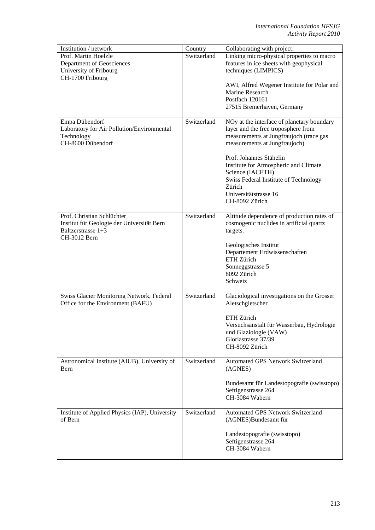| Country     | Collaborating with project:                                                                                                                                                        |
|-------------|------------------------------------------------------------------------------------------------------------------------------------------------------------------------------------|
| Switzerland | Linking micro-physical properties to macro<br>features in ice sheets with geophysical                                                                                              |
|             | techniques (LIMPICS)                                                                                                                                                               |
|             | AWI, Alfred Wegener Institute for Polar and<br>Marine Research<br>Postfach 120161<br>27515 Bremerhaven, Germany                                                                    |
| Switzerland | NOy at the interface of planetary boundary<br>layer and the free troposphere from<br>measurements at Jungfraujoch (trace gas<br>measurements at Jungfraujoch)                      |
|             | Prof. Johannes Stähelin<br>Institute for Atmospheric and Climate<br>Science (IACETH)<br>Swiss Federal Institute of Technology<br>Zürich<br>Universitätstrasse 16<br>CH-8092 Zürich |
| Switzerland | Altitude dependence of production rates of<br>cosmogenic nuclides in artificial quartz<br>targets.                                                                                 |
|             | Geologisches Institut<br>Departement Erdwissenschaften<br>ETH Zürich<br>Sonneggstrasse 5<br>8092 Zürich<br>Schweiz                                                                 |
| Switzerland | Glaciological investigations on the Grosser<br>Aletschgletscher                                                                                                                    |
|             | ETH Zürich<br>Versuchsanstalt für Wasserbau, Hydrologie<br>und Glaziologie (VAW)<br>Gloriastrasse 37/39<br>CH-8092 Zürich                                                          |
| Switzerland | Automated GPS Network Switzerland<br>(AGNES)                                                                                                                                       |
|             | Bundesamt für Landestopografie (swisstopo)<br>Seftigenstrasse 264<br>CH-3084 Wabern                                                                                                |
| Switzerland | Automated GPS Network Switzerland<br>(AGNES)Bundesamt für                                                                                                                          |
|             | Landestopografie (swisstopo)<br>Seftigenstrasse 264<br>CH-3084 Wabern                                                                                                              |
|             |                                                                                                                                                                                    |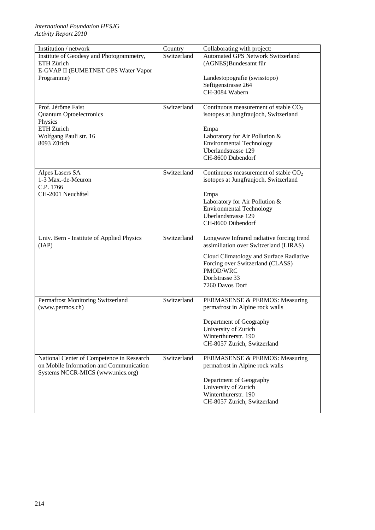| Institution / network                     | Country     | Collaborating with project:                                                         |
|-------------------------------------------|-------------|-------------------------------------------------------------------------------------|
| Institute of Geodesy and Photogrammetry,  | Switzerland | <b>Automated GPS Network Switzerland</b>                                            |
| ETH Zürich                                |             | (AGNES)Bundesamt für                                                                |
| E-GVAP II (EUMETNET GPS Water Vapor       |             |                                                                                     |
| Programme)                                |             | Landestopografie (swisstopo)                                                        |
|                                           |             | Seftigenstrasse 264                                                                 |
|                                           |             | CH-3084 Wabern                                                                      |
|                                           |             |                                                                                     |
| Prof. Jérôme Faist                        | Switzerland | Continuous measurement of stable CO <sub>2</sub>                                    |
| <b>Quantum Optoelectronics</b>            |             | isotopes at Jungfraujoch, Switzerland                                               |
| Physics                                   |             |                                                                                     |
| ETH Zürich                                |             | Empa                                                                                |
| Wolfgang Pauli str. 16                    |             | Laboratory for Air Pollution &                                                      |
| 8093 Zürich                               |             | <b>Environmental Technology</b>                                                     |
|                                           |             | Überlandstrasse 129                                                                 |
|                                           |             | CH-8600 Dübendorf                                                                   |
|                                           |             |                                                                                     |
| Alpes Lasers SA                           | Switzerland | Continuous measurement of stable CO <sub>2</sub>                                    |
| 1-3 Max.-de-Meuron                        |             | isotopes at Jungfraujoch, Switzerland                                               |
| C.P. 1766                                 |             |                                                                                     |
| CH-2001 Neuchâtel                         |             |                                                                                     |
|                                           |             | Empa                                                                                |
|                                           |             | Laboratory for Air Pollution &                                                      |
|                                           |             | <b>Environmental Technology</b><br>Überlandstrasse 129                              |
|                                           |             |                                                                                     |
|                                           |             | CH-8600 Dübendorf                                                                   |
|                                           | Switzerland |                                                                                     |
| Univ. Bern - Institute of Applied Physics |             | Longwave Infrared radiative forcing trend<br>assimiliation over Switzerland (LIRAS) |
| (IAP)                                     |             |                                                                                     |
|                                           |             | Cloud Climatology and Surface Radiative                                             |
|                                           |             | Forcing over Switzerland (CLASS)                                                    |
|                                           |             | PMOD/WRC                                                                            |
|                                           |             | Dorfstrasse 33                                                                      |
|                                           |             | 7260 Davos Dorf                                                                     |
|                                           |             |                                                                                     |
| Permafrost Monitoring Switzerland         | Switzerland | PERMASENSE & PERMOS: Measuring                                                      |
| (www.permos.ch)                           |             | permafrost in Alpine rock walls                                                     |
|                                           |             |                                                                                     |
|                                           |             | Department of Geography                                                             |
|                                           |             | University of Zurich                                                                |
|                                           |             | Winterthurerstr. 190                                                                |
|                                           |             | CH-8057 Zurich, Switzerland                                                         |
|                                           |             |                                                                                     |
| National Center of Competence in Research | Switzerland | PERMASENSE & PERMOS: Measuring                                                      |
| on Mobile Information and Communication   |             | permafrost in Alpine rock walls                                                     |
| Systems NCCR-MICS (www.mics.org)          |             |                                                                                     |
|                                           |             | Department of Geography                                                             |
|                                           |             | University of Zurich                                                                |
|                                           |             | Winterthurerstr. 190                                                                |
|                                           |             | CH-8057 Zurich, Switzerland                                                         |
|                                           |             |                                                                                     |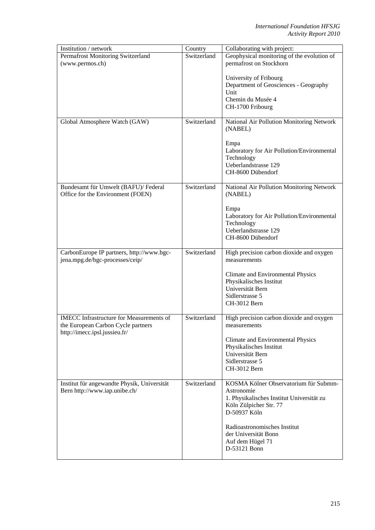| Institution / network                                                                 | Country     | Collaborating with project:                              |
|---------------------------------------------------------------------------------------|-------------|----------------------------------------------------------|
| Permafrost Monitoring Switzerland                                                     | Switzerland | Geophysical monitoring of the evolution of               |
| (www.permos.ch)                                                                       |             | permafrost on Stockhorn                                  |
|                                                                                       |             |                                                          |
|                                                                                       |             | University of Fribourg                                   |
|                                                                                       |             | Department of Geosciences - Geography                    |
|                                                                                       |             | Unit                                                     |
|                                                                                       |             | Chemin du Musée 4                                        |
|                                                                                       |             | CH-1700 Fribourg                                         |
| Global Atmosphere Watch (GAW)                                                         | Switzerland | National Air Pollution Monitoring Network<br>(NABEL)     |
|                                                                                       |             | Empa                                                     |
|                                                                                       |             | Laboratory for Air Pollution/Environmental               |
|                                                                                       |             | Technology                                               |
|                                                                                       |             | Ueberlandstrasse 129                                     |
|                                                                                       |             | CH-8600 Dübendorf                                        |
|                                                                                       |             |                                                          |
| Bundesamt für Umwelt (BAFU)/ Federal<br>Office for the Environment (FOEN)             | Switzerland | National Air Pollution Monitoring Network<br>(NABEL)     |
|                                                                                       |             | Empa                                                     |
|                                                                                       |             | Laboratory for Air Pollution/Environmental               |
|                                                                                       |             | Technology                                               |
|                                                                                       |             | Ueberlandstrasse 129                                     |
|                                                                                       |             | CH-8600 Dübendorf                                        |
|                                                                                       |             |                                                          |
| CarbonEurope IP partners, http://www.bgc-                                             | Switzerland | High precision carbon dioxide and oxygen                 |
| jena.mpg.de/bgc-processes/ceip/                                                       |             | measurements                                             |
|                                                                                       |             | Climate and Environmental Physics                        |
|                                                                                       |             | Physikalisches Institut                                  |
|                                                                                       |             | Universität Bern                                         |
|                                                                                       |             | Sidlerstrasse 5                                          |
|                                                                                       |             | CH-3012 Bern                                             |
|                                                                                       |             |                                                          |
| <b>IMECC</b> Infrastructure for Measurements of<br>the European Carbon Cycle partners | Switzerland | High precision carbon dioxide and oxygen<br>measurements |
| http://imecc.ipsl.jussieu.fr/                                                         |             | Climate and Environmental Physics                        |
|                                                                                       |             | Physikalisches Institut                                  |
|                                                                                       |             | Universität Bern                                         |
|                                                                                       |             | Sidlerstrasse 5                                          |
|                                                                                       |             | CH-3012 Bern                                             |
|                                                                                       |             |                                                          |
| Institut für angewandte Physik, Universität                                           | Switzerland | KOSMA Kölner Observatorium für Submm-                    |
| Bern http://www.iap.unibe.ch/                                                         |             | Astronomie<br>1. Physikalisches Institut Universität zu  |
|                                                                                       |             | Köln Zülpicher Str. 77                                   |
|                                                                                       |             | D-50937 Köln                                             |
|                                                                                       |             |                                                          |
|                                                                                       |             | Radioastronomisches Institut                             |
|                                                                                       |             | der Universität Bonn                                     |
|                                                                                       |             | Auf dem Hügel 71                                         |
|                                                                                       |             | D-53121 Bonn                                             |
|                                                                                       |             |                                                          |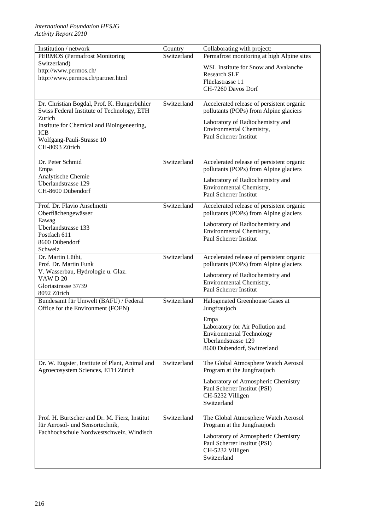| Institution / network                                                       | Country     | Collaborating with project:                        |
|-----------------------------------------------------------------------------|-------------|----------------------------------------------------|
| <b>PERMOS</b> (Permafrost Monitoring                                        | Switzerland | Permafrost monitoring at high Alpine sites         |
| Switzerland)                                                                |             | WSL Institute for Snow and Avalanche               |
| http://www.permos.ch/                                                       |             | <b>Research SLF</b>                                |
| http://www.permos.ch/partner.html                                           |             | Flüelastrasse 11                                   |
|                                                                             |             | CH-7260 Davos Dorf                                 |
|                                                                             |             |                                                    |
| Dr. Christian Bogdal, Prof. K. Hungerbühler                                 | Switzerland | Accelerated release of persistent organic          |
| Swiss Federal Institute of Technology, ETH                                  |             | pollutants (POPs) from Alpine glaciers             |
| Zurich                                                                      |             |                                                    |
| Institute for Chemical and Bioingeneering,                                  |             | Laboratory of Radiochemistry and                   |
| <b>ICB</b>                                                                  |             | Environmental Chemistry,<br>Paul Scherrer Institut |
| Wolfgang-Pauli-Strasse 10                                                   |             |                                                    |
| CH-8093 Zürich                                                              |             |                                                    |
|                                                                             |             |                                                    |
| Dr. Peter Schmid                                                            | Switzerland | Accelerated release of persistent organic          |
| Empa                                                                        |             | pollutants (POPs) from Alpine glaciers             |
| Analytische Chemie                                                          |             | Laboratory of Radiochemistry and                   |
| Überlandstrasse 129                                                         |             | Environmental Chemistry,                           |
| CH-8600 Dübendorf                                                           |             | Paul Scherrer Institut                             |
| Prof. Dr. Flavio Anselmetti                                                 | Switzerland | Accelerated release of persistent organic          |
| Oberflächengewässer                                                         |             | pollutants (POPs) from Alpine glaciers             |
| Eawag                                                                       |             |                                                    |
| Überlandstrasse 133                                                         |             | Laboratory of Radiochemistry and                   |
| Postfach 611                                                                |             | Environmental Chemistry,                           |
| 8600 Dübendorf                                                              |             | Paul Scherrer Institut                             |
| Schweiz                                                                     |             |                                                    |
| Dr. Martin Lüthi,                                                           | Switzerland | Accelerated release of persistent organic          |
| Prof. Dr. Martin Funk                                                       |             | pollutants (POPs) from Alpine glaciers             |
| V. Wasserbau, Hydrologie u. Glaz.                                           |             | Laboratory of Radiochemistry and                   |
| <b>VAW D 20</b>                                                             |             | Environmental Chemistry,                           |
| Gloriastrasse 37/39                                                         |             | Paul Scherrer Institut                             |
| 8092 Zürich                                                                 |             |                                                    |
| Bundesamt für Umwelt (BAFU) / Federal                                       | Switzerland | Halogenated Greenhouse Gases at                    |
| Office for the Environment (FOEN)                                           |             | Jungfraujoch                                       |
|                                                                             |             | Empa                                               |
|                                                                             |             | Laboratory for Air Pollution and                   |
|                                                                             |             | <b>Environmental Technology</b>                    |
|                                                                             |             | <b>Uberlandstrasse 129</b>                         |
|                                                                             |             | 8600 Dubendorf, Switzerland                        |
|                                                                             |             |                                                    |
| Dr. W. Eugster, Institute of Plant, Animal and                              | Switzerland | The Global Atmosphere Watch Aerosol                |
| Agroecosystem Sciences, ETH Zürich                                          |             | Program at the Jungfraujoch                        |
|                                                                             |             | Laboratory of Atmospheric Chemistry                |
|                                                                             |             | Paul Scherrer Institut (PSI)                       |
|                                                                             |             | CH-5232 Villigen                                   |
|                                                                             |             | Switzerland                                        |
|                                                                             |             |                                                    |
| Prof. H. Burtscher and Dr. M. Fierz, Institut                               | Switzerland | The Global Atmosphere Watch Aerosol                |
| für Aerosol- und Sensortechnik,<br>Fachhochschule Nordwestschweiz, Windisch |             | Program at the Jungfraujoch                        |
|                                                                             |             | Laboratory of Atmospheric Chemistry                |
|                                                                             |             | Paul Scherrer Institut (PSI)                       |
|                                                                             |             | CH-5232 Villigen                                   |
|                                                                             |             | Switzerland                                        |
|                                                                             |             |                                                    |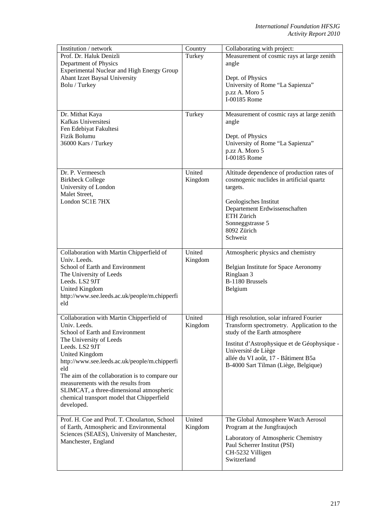| Institution / network                          | Country | Collaborating with project:                  |
|------------------------------------------------|---------|----------------------------------------------|
| Prof. Dr. Haluk Denizli                        | Turkey  | Measurement of cosmic rays at large zenith   |
| Department of Physics                          |         | angle                                        |
| Experimental Nuclear and High Energy Group     |         |                                              |
| <b>Abant Izzet Baysal University</b>           |         | Dept. of Physics                             |
| Bolu / Turkey                                  |         | University of Rome "La Sapienza"             |
|                                                |         | p.zz A. Moro 5                               |
|                                                |         | I-00185 Rome                                 |
|                                                |         |                                              |
| Dr. Mithat Kaya                                | Turkey  | Measurement of cosmic rays at large zenith   |
| Kafkas Universitesi                            |         | angle                                        |
| Fen Edebiyat Fakultesi                         |         |                                              |
| Fizik Bolumu                                   |         | Dept. of Physics                             |
| 36000 Kars / Turkey                            |         | University of Rome "La Sapienza"             |
|                                                |         | p.zz A. Moro 5                               |
|                                                |         | I-00185 Rome                                 |
|                                                |         |                                              |
| Dr. P. Vermeesch                               | United  | Altitude dependence of production rates of   |
| <b>Birkbeck College</b>                        | Kingdom | cosmogenic nuclides in artificial quartz     |
| University of London                           |         | targets.                                     |
| Malet Street,                                  |         |                                              |
| London SC1E 7HX                                |         | Geologisches Institut                        |
|                                                |         | Departement Erdwissenschaften                |
|                                                |         | ETH Zürich                                   |
|                                                |         | Sonneggstrasse 5                             |
|                                                |         | 8092 Zürich                                  |
|                                                |         | Schweiz                                      |
|                                                |         |                                              |
| Collaboration with Martin Chipperfield of      | United  | Atmospheric physics and chemistry            |
| Univ. Leeds.                                   | Kingdom |                                              |
| School of Earth and Environment                |         | Belgian Institute for Space Aeronomy         |
| The University of Leeds                        |         | Ringlaan 3                                   |
| Leeds. LS2 9JT                                 |         | B-1180 Brussels                              |
| <b>United Kingdom</b>                          |         | Belgium                                      |
| http://www.see.leeds.ac.uk/people/m.chipperfi  |         |                                              |
| eld                                            |         |                                              |
|                                                |         |                                              |
| Collaboration with Martin Chipperfield of      | United  | High resolution, solar infrared Fourier      |
| Univ. Leeds.                                   | Kingdom | Transform spectrometry. Application to the   |
| School of Earth and Environment                |         | study of the Earth atmosphere                |
| The University of Leeds                        |         | Institut d'Astrophysique et de Géophysique - |
| Leeds. LS2 9JT                                 |         | Université de Liège                          |
| <b>United Kingdom</b>                          |         | allée du VI août, 17 - Bâtiment B5a          |
| http://www.see.leeds.ac.uk/people/m.chipperfi  |         | B-4000 Sart Tilman (Liège, Belgique)         |
| eld                                            |         |                                              |
| The aim of the collaboration is to compare our |         |                                              |
| measurements with the results from             |         |                                              |
| SLIMCAT, a three-dimensional atmospheric       |         |                                              |
| chemical transport model that Chipperfield     |         |                                              |
| developed.                                     |         |                                              |
| Prof. H. Coe and Prof. T. Choularton, School   | United  | The Global Atmosphere Watch Aerosol          |
| of Earth, Atmospheric and Environmental        | Kingdom | Program at the Jungfraujoch                  |
| Sciences (SEAES), University of Manchester,    |         |                                              |
| Manchester, England                            |         | Laboratory of Atmospheric Chemistry          |
|                                                |         | Paul Scherrer Institut (PSI)                 |
|                                                |         | CH-5232 Villigen                             |
|                                                |         | Switzerland                                  |
|                                                |         |                                              |